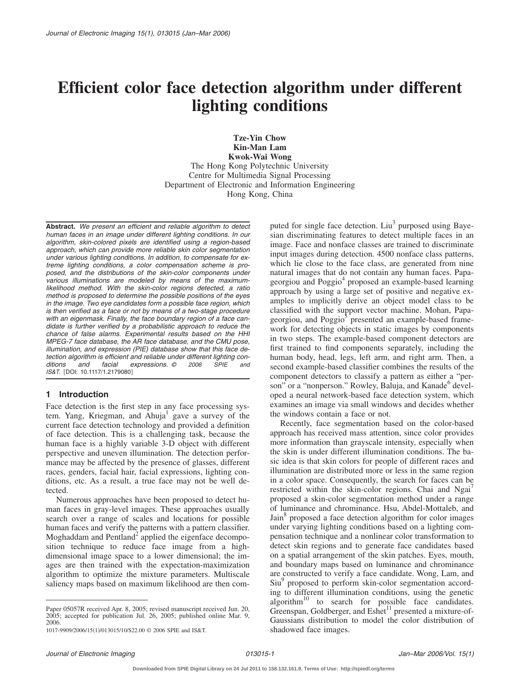# **Efficient color face detection algorithm under different lighting conditions**

**Tze-Yin Chow Kin-Man Lam Kwok-Wai Wong** The Hong Kong Polytechnic University Centre for Multimedia Signal Processing Department of Electronic and Information Engineering Hong Kong, China

**Abstract.** *We present an efficient and reliable algorithm to detect human faces in an image under different lighting conditions. In our algorithm, skin-colored pixels are identified using a region-based approach, which can provide more reliable skin color segmentation under various lighting conditions. In addition, to compensate for extreme lighting conditions, a color compensation scheme is proposed, and the distributions of the skin-color components under various illuminations are modeled by means of the maximumlikelihood method. With the skin-color regions detected, a ratio method is proposed to determine the possible positions of the eyes in the image. Two eye candidates form a possible face region, which is then verified as a face or not by means of a two-stage procedure with an eigenmask. Finally, the face boundary region of a face candidate is further verified by a probabilistic approach to reduce the chance of false alarms. Experimental results based on the HHI MPEG-7 face database, the AR face database, and the CMU pose, illumination, and expression (PIE) database show that this face detection algorithm is efficient and reliable under different lighting conditions and facial expressions. © 2006 SPIE and IS&T.* [DOI: 10.1117/1.2179080]

# **1 Introduction**

Face detection is the first step in any face processing system. Yang, Kriegman, and Ahuja<sup>1</sup> gave a survey of the current face detection technology and provided a definition of face detection. This is a challenging task, because the human face is a highly variable 3-D object with different perspective and uneven illumination. The detection performance may be affected by the presence of glasses, different races, genders, facial hair, facial expressions, lighting conditions, etc. As a result, a true face may not be well detected.

Numerous approaches have been proposed to detect human faces in gray-level images. These approaches usually search over a range of scales and locations for possible human faces and verify the patterns with a pattern classifier. Moghaddam and Pentland<sup>2</sup> applied the eigenface decomposition technique to reduce face image from a highdimensional image space to a lower dimensional; the images are then trained with the expectation-maximization algorithm to optimize the mixture parameters. Multiscale saliency maps based on maximum likelihood are then com-

Paper 05057R received Apr. 8, 2005; revised manuscript received Jun. 20, 2005; accepted for publication Jul. 26, 2005; published online Mar. 9, 2006.

puted for single face detection. Liu<sup>3</sup> purposed using Bayesian discriminating features to detect multiple faces in an image. Face and nonface classes are trained to discriminate input images during detection. 4500 nonface class patterns, which lie close to the face class, are generated from nine natural images that do not contain any human faces. Papageorgiou and Poggio<sup>4</sup> proposed an example-based learning approach by using a large set of positive and negative examples to implicitly derive an object model class to be classified with the support vector machine. Mohan, Papageorgiou, and Poggio<sup>3</sup> presented an example-based framework for detecting objects in static images by components in two steps. The example-based component detectors are first trained to find components separately, including the human body, head, legs, left arm, and right arm. Then, a second example-based classifier combines the results of the component detectors to classify a pattern as either a "person" or a "nonperson." Rowley, Baluja, and Kanade<sup>6</sup> developed a neural network-based face detection system, which examines an image via small windows and decides whether the windows contain a face or not.

Recently, face segmentation based on the color-based approach has received mass attention, since color provides more information than grayscale intensity, especially when the skin is under different illumination conditions. The basic idea is that skin colors for people of different races and illumination are distributed more or less in the same region in a color space. Consequently, the search for faces can be restricted within the skin-color regions. Chai and Ngai<sup>7</sup> proposed a skin-color segmentation method under a range of luminance and chrominance. Hsu, Abdel-Mottaleb, and Jain<sup>8</sup> proposed a face detection algorithm for color images under varying lighting conditions based on a lighting compensation technique and a nonlinear color transformation to detect skin regions and to generate face candidates based on a spatial arrangement of the skin patches. Eyes, mouth, and boundary maps based on luminance and chrominance are constructed to verify a face candidate. Wong, Lam, and Siu<sup>9</sup> proposed to perform skin-color segmentation according to different illumination conditions, using the genetic  $algorithm<sup>10</sup>$  to search for possible face candidates. Greenspan, Goldberger, and Eshet<sup>11</sup> presented a mixture-of-Gaussians distribution to model the color distribution of shadowed face images.

<sup>1017-9909/2006/15(1)/013015/10/\$22.00 © 2006</sup> SPIE and IS&T.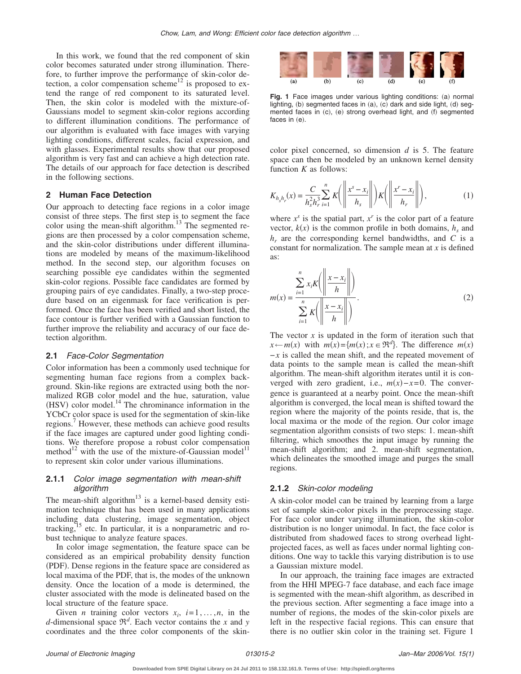In this work, we found that the red component of skin color becomes saturated under strong illumination. Therefore, to further improve the performance of skin-color detection, a color compensation scheme<sup>12</sup> is proposed to extend the range of red component to its saturated level. Then, the skin color is modeled with the mixture-of-Gaussians model to segment skin-color regions according to different illumination conditions. The performance of our algorithm is evaluated with face images with varying lighting conditions, different scales, facial expression, and with glasses. Experimental results show that our proposed algorithm is very fast and can achieve a high detection rate. The details of our approach for face detection is described in the following sections.

## **2 Human Face Detection**

Our approach to detecting face regions in a color image consist of three steps. The first step is to segment the face color using the mean-shift algorithm.<sup>13</sup> The segmented regions are then processed by a color compensation scheme, and the skin-color distributions under different illuminations are modeled by means of the maximum-likelihood method. In the second step, our algorithm focuses on searching possible eye candidates within the segmented skin-color regions. Possible face candidates are formed by grouping pairs of eye candidates. Finally, a two-step procedure based on an eigenmask for face verification is performed. Once the face has been verified and short listed, the face contour is further verified with a Gaussian function to further improve the reliability and accuracy of our face detection algorithm.

## **2.1** *Face-Color Segmentation*

Color information has been a commonly used technique for segmenting human face regions from a complex background. Skin-like regions are extracted using both the normalized RGB color model and the hue, saturation, value  $(HSV)$  color model.<sup>14</sup> The chrominance information in the YCbCr color space is used for the segmentation of skin-like regions.<sup>7</sup> However, these methods can achieve good results if the face images are captured under good lighting conditions. We therefore propose a robust color compensation method<sup>12</sup> with the use of the mixture-of-Gaussian model<sup>11</sup> to represent skin color under various illuminations.

## **2.1.1** *Color image segmentation with mean-shift algorithm*

The mean-shift algorithm<sup>13</sup> is a kernel-based density estimation technique that has been used in many applications including data clustering, image segmentation, object tracking,<sup>15</sup> etc. In particular, it is a nonparametric and robust technique to analyze feature spaces.

In color image segmentation, the feature space can be considered as an empirical probability density function (PDF). Dense regions in the feature space are considered as local maxima of the PDF, that is, the modes of the unknown density. Once the location of a mode is determined, the cluster associated with the mode is delineated based on the local structure of the feature space.

Given *n* training color vectors  $x_i$ ,  $i=1,\ldots,n$ , in the *d*-dimensional space  $\mathfrak{R}^d$ . Each vector contains the *x* and *y* coordinates and the three color components of the skin-



**Fig. 1** Face images under various lighting conditions: (a) normal lighting, (b) segmented faces in (a), (c) dark and side light, (d) segmented faces in (c), (e) strong overhead light, and (f) segmented faces in  $(e)$ 

color pixel concerned, so dimension *d* is 5. The feature space can then be modeled by an unknown kernel density function  $K$  as follows:

$$
K_{h_s h_r}(x) = \frac{C}{h_s^2 h_r^3} \sum_{i=1}^n K\left(\left\|\frac{x^s - x_i}{h_s}\right\|x\right) K\left(\left\|\frac{x^r - x_i}{h_r}\right\|x\right),\tag{1}
$$

where  $x^s$  is the spatial part,  $x^r$  is the color part of a feature vector,  $k(x)$  is the common profile in both domains,  $h_s$  and *hr* are the corresponding kernel bandwidths, and *C* is a constant for normalization. The sample mean at *x* is defined as:

$$
m(x) = \frac{\sum_{i=1}^{n} x_i K\left(\left\|\frac{x - x_i}{h}\right\| \right)}{\sum_{i=1}^{n} K\left(\left\|\frac{x - x_i}{h}\right\| \right)}.
$$
 (2)

The vector  $x$  is updated in the form of iteration such that  $x \leftarrow m(x)$  with  $m(x) = \{m(x) : x \in \Re^d\}$ . The difference  $m(x)$ −*x* is called the mean shift, and the repeated movement of data points to the sample mean is called the mean-shift algorithm. The mean-shift algorithm iterates until it is converged with zero gradient, i.e.,  $m(x) - x = 0$ . The convergence is guaranteed at a nearby point. Once the mean-shift algorithm is converged, the local mean is shifted toward the region where the majority of the points reside, that is, the local maxima or the mode of the region. Our color image segmentation algorithm consists of two steps: 1. mean-shift filtering, which smoothes the input image by running the mean-shift algorithm; and 2. mean-shift segmentation, which delineates the smoothed image and purges the small regions.

#### **2.1.2** *Skin-color modeling*

A skin-color model can be trained by learning from a large set of sample skin-color pixels in the preprocessing stage. For face color under varying illumination, the skin-color distribution is no longer unimodal. In fact, the face color is distributed from shadowed faces to strong overhead lightprojected faces, as well as faces under normal lighting conditions. One way to tackle this varying distribution is to use a Gaussian mixture model.

In our approach, the training face images are extracted from the HHI MPEG-7 face database, and each face image is segmented with the mean-shift algorithm, as described in the previous section. After segmenting a face image into a number of regions, the modes of the skin-color pixels are left in the respective facial regions. This can ensure that there is no outlier skin color in the training set. Figure 1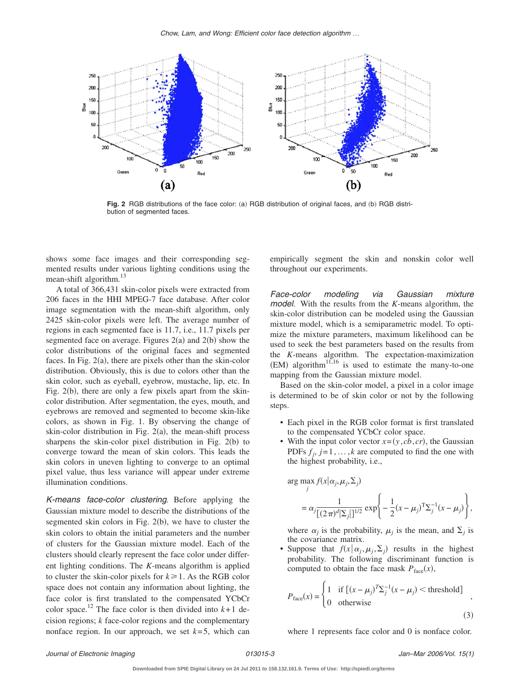

Fig. 2 RGB distributions of the face color: (a) RGB distribution of original faces, and (b) RGB distribution of segmented faces.

shows some face images and their corresponding segmented results under various lighting conditions using the mean-shift algorithm.<sup>13</sup>

A total of 366,431 skin-color pixels were extracted from 206 faces in the HHI MPEG-7 face database. After color image segmentation with the mean-shift algorithm, only 2425 skin-color pixels were left. The average number of regions in each segmented face is 11.7, i.e., 11.7 pixels per segmented face on average. Figures  $2(a)$  and  $2(b)$  show the color distributions of the original faces and segmented faces. In Fig.  $2(a)$ , there are pixels other than the skin-color distribution. Obviously, this is due to colors other than the skin color, such as eyeball, eyebrow, mustache, lip, etc. In Fig.  $2(b)$ , there are only a few pixels apart from the skincolor distribution. After segmentation, the eyes, mouth, and eyebrows are removed and segmented to become skin-like colors, as shown in Fig. 1. By observing the change of  $skin-color distribution$  in Fig.  $2(a)$ , the mean-shift process sharpens the skin-color pixel distribution in Fig. 2(b) to converge toward the mean of skin colors. This leads the skin colors in uneven lighting to converge to an optimal pixel value, thus less variance will appear under extreme illumination conditions.

*K-means face-color clustering*. Before applying the Gaussian mixture model to describe the distributions of the segmented skin colors in Fig. 2(b), we have to cluster the skin colors to obtain the initial parameters and the number of clusters for the Gaussian mixture model. Each of the clusters should clearly represent the face color under different lighting conditions. The *K*-means algorithm is applied to cluster the skin-color pixels for  $k \ge 1$ . As the RGB color space does not contain any information about lighting, the face color is first translated to the compensated YCbCr color space.<sup>12</sup> The face color is then divided into  $k+1$  decision regions; *k* face-color regions and the complementary nonface region. In our approach, we set  $k=5$ , which can empirically segment the skin and nonskin color well throughout our experiments.

*Face-color modeling via Gaussian mixture model*. With the results from the *K*-means algorithm, the skin-color distribution can be modeled using the Gaussian mixture model, which is a semiparametric model. To optimize the mixture parameters, maximum likelihood can be used to seek the best parameters based on the results from the *K*-means algorithm. The expectation-maximization (EM) algorithm<sup>11,16</sup> is used to estimate the many-to-one mapping from the Gaussian mixture model.

Based on the skin-color model, a pixel in a color image is determined to be of skin color or not by the following steps.

- Each pixel in the RGB color format is first translated to the compensated YCbCr color space.
- With the input color vector  $x = (y, cb, cr)$ , the Gaussian PDFs  $f_i$ ,  $j = 1, ..., k$  are computed to find the one with the highest probability, i.e.,

$$
\arg \max_{j} f(x|\alpha_j, \mu_j, \Sigma_j)
$$
  
=  $\alpha_j \frac{1}{[(2\pi)^d |\Sigma_j|]^{1/2}} \exp \left\{-\frac{1}{2} (x - \mu_j)^T \Sigma_j^{-1} (x - \mu_j) \right\},$ 

where  $\alpha_j$  is the probability,  $\mu_j$  is the mean, and  $\Sigma_j$  is the covariance matrix.

• Suppose that  $f(x | \alpha_j, \mu_j, \Sigma_j)$  results in the highest probability. The following discriminant function is computed to obtain the face mask  $P_{\text{face}}(x)$ ,

$$
P_{\text{face}}(x) = \begin{cases} 1 & \text{if } [(x - \mu_j)^T \Sigma_j^{-1} (x - \mu_j) < \text{threshold} \\ 0 & \text{otherwise} \end{cases} \tag{3}
$$

where 1 represents face color and 0 is nonface color.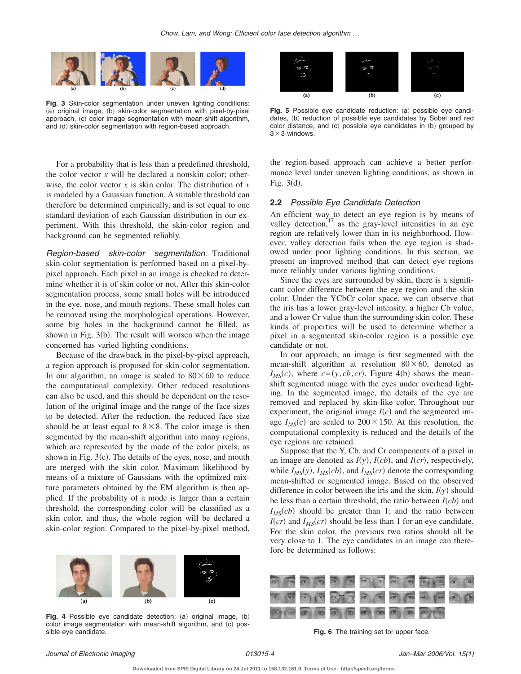

**Fig. 3** Skin-color segmentation under uneven lighting conditions:  $(a)$  original image,  $(b)$  skin-color segmentation with pixel-by-pixel approach, (c) color image segmentation with mean-shift algorithm, and (d) skin-color segmentation with region-based approach.

For a probability that is less than a predefined threshold, the color vector *x* will be declared a nonskin color; otherwise, the color vector *x* is skin color. The distribution of *x* is modeled by a Gaussian function. A suitable threshold can therefore be determined empirically, and is set equal to one standard deviation of each Gaussian distribution in our experiment. With this threshold, the skin-color region and background can be segmented reliably.

*Region-based skin-color segmentation*. Traditional skin-color segmentation is performed based on a pixel-bypixel approach. Each pixel in an image is checked to determine whether it is of skin color or not. After this skin-color segmentation process, some small holes will be introduced in the eye, nose, and mouth regions. These small holes can be removed using the morphological operations. However, some big holes in the background cannot be filled, as shown in Fig. 3(b). The result will worsen when the image concerned has varied lighting conditions.

Because of the drawback in the pixel-by-pixel approach, a region approach is proposed for skin-color segmentation. In our algorithm, an image is scaled to  $80\times60$  to reduce the computational complexity. Other reduced resolutions can also be used, and this should be dependent on the resolution of the original image and the range of the face sizes to be detected. After the reduction, the reduced face size should be at least equal to  $8 \times 8$ . The color image is then segmented by the mean-shift algorithm into many regions, which are represented by the mode of the color pixels, as shown in Fig.  $3(c)$ . The details of the eyes, nose, and mouth are merged with the skin color. Maximum likelihood by means of a mixture of Gaussians with the optimized mixture parameters obtained by the EM algorithm is then applied. If the probability of a mode is larger than a certain threshold, the corresponding color will be classified as a skin color, and thus, the whole region will be declared a skin-color region. Compared to the pixel-by-pixel method,



Fig. 5 Possible eye candidate reduction: (a) possible eye candidates, (b) reduction of possible eye candidates by Sobel and red color distance, and (c) possible eye candidates in (b) grouped by  $3 \times 3$  windows.

the region-based approach can achieve a better performance level under uneven lighting conditions, as shown in Fig.  $3(d)$ .

#### **2.2** *Possible Eye Candidate Detection*

An efficient way to detect an eye region is by means of valley detection, $17$  as the gray-level intensities in an eye region are relatively lower than in its neighborhood. However, valley detection fails when the eye region is shadowed under poor lighting conditions. In this section, we present an improved method that can detect eye regions more reliably under various lighting conditions.

Since the eyes are surrounded by skin, there is a significant color difference between the eye region and the skin color. Under the YCbCr color space, we can observe that the iris has a lower gray-level intensity, a higher Cb value, and a lower Cr value than the surrounding skin color. These kinds of properties will be used to determine whether a pixel in a segmented skin-color region is a possible eye candidate or not.

In our approach, an image is first segmented with the mean-shift algorithm at resolution  $80 \times 60$ , denoted as  $I_{MS}(c)$ , where  $c = (y, cb, cr)$ . Figure 4(b) shows the meanshift segmented image with the eyes under overhead lighting. In the segmented image, the details of the eye are removed and replaced by skin-like color. Throughout our experiment, the original image  $I(c)$  and the segmented image  $I_{MS}(c)$  are scaled to  $200 \times 150$ . At this resolution, the computational complexity is reduced and the details of the eye regions are retained.

Suppose that the Y, Cb, and Cr components of a pixel in an image are denoted as  $I(y)$ ,  $I(cb)$ , and  $I(cr)$ , respectively, while  $I_{MS}(y)$ ,  $I_{MS}(cb)$ , and  $I_{MS}(cr)$  denote the corresponding mean-shifted or segmented image. Based on the observed difference in color between the iris and the skin,  $I(y)$  should be less than a certain threshold; the ratio between  $I(cb)$  and  $I_{MS}(cb)$  should be greater than 1; and the ratio between  $I(cr)$  and  $I_{MS}(cr)$  should be less than 1 for an eye candidate. For the skin color, the previous two ratios should all be very close to 1. The eye candidates in an image can therefore be determined as follows:



Fig. 6 The training set for upper face.

Fig. 4 Possible eye candidate detection: (a) original image, (b) color image segmentation with mean-shift algorithm, and (c) possible eye candidate.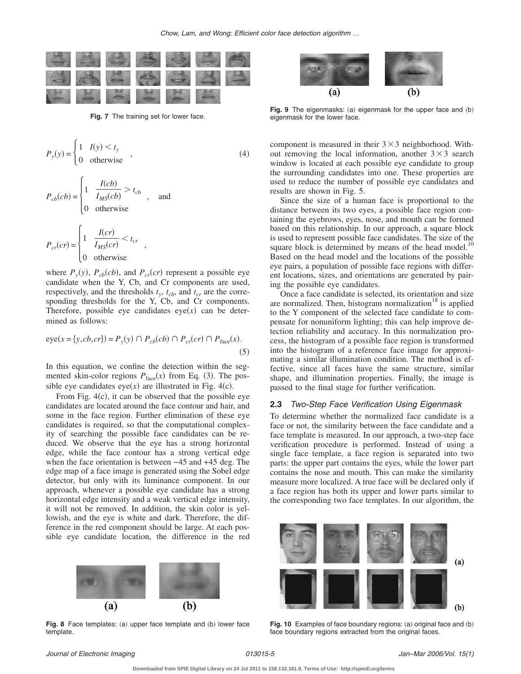

$$
P_y(y) = \begin{cases} 1 & I(y) < t_y \\ 0 & \text{otherwise} \end{cases} \tag{4}
$$

$$
P_{cb}(cb) = \begin{cases} 1 & \frac{I(cb)}{I_{MS}(cb)} > t_{cb} \\ 0 & \text{otherwise} \end{cases}
$$
, and

$$
P_{cr}(cr) = \begin{cases} 1 & \frac{I(cr)}{I_{MS}(cr)} < t_{cr} \\ 0 & \text{otherwise} \end{cases}
$$

where  $P_y(y)$ ,  $P_{cb}(cb)$ , and  $P_{cr}(cr)$  represent a possible eye candidate when the Y, Cb, and Cr components are used, respectively, and the thresholds  $t_y$ ,  $t_{cb}$ , and  $t_{cr}$  are the corresponding thresholds for the Y, Cb, and Cr components. Therefore, possible eye candidates  $eye(x)$  can be determined as follows:

$$
eye(x = \{y, cb, cr\}) = P_y(y) \cap P_{cb}(cb) \cap P_{cr}(cr) \cap P_{face}(x). \tag{5}
$$

In this equation, we confine the detection within the segmented skin-color regions  $P_{\text{face}}(x)$  from Eq. (3). The possible eye candidates  $eye(x)$  are illustrated in Fig. 4(c).

From Fig.  $4(c)$ , it can be observed that the possible eye candidates are located around the face contour and hair, and some in the face region. Further elimination of these eye candidates is required, so that the computational complexity of searching the possible face candidates can be reduced. We observe that the eye has a strong horizontal edge, while the face contour has a strong vertical edge when the face orientation is between −45 and +45 deg. The edge map of a face image is generated using the Sobel edge detector, but only with its luminance component. In our approach, whenever a possible eye candidate has a strong horizontal edge intensity and a weak vertical edge intensity, it will not be removed. In addition, the skin color is yellowish, and the eye is white and dark. Therefore, the difference in the red component should be large. At each possible eye candidate location, the difference in the red



Fig. 8 Face templates: (a) upper face template and (b) lower face template.



**Fig. 9** The eigenmasks: (a) eigenmask for the upper face and (b) **Fig. 7** The training set for lower face. eigenmask for the lower face.

component is measured in their  $3 \times 3$  neighborhood. Without removing the local information, another  $3 \times 3$  search window is located at each possible eye candidate to group the surrounding candidates into one. These properties are used to reduce the number of possible eye candidates and results are shown in Fig. 5.

Since the size of a human face is proportional to the distance between its two eyes, a possible face region containing the eyebrows, eyes, nose, and mouth can be formed based on this relationship. In our approach, a square block is used to represent possible face candidates. The size of the square block is determined by means of the head model.<sup>1</sup> Based on the head model and the locations of the possible eye pairs, a population of possible face regions with different locations, sizes, and orientations are generated by pairing the possible eye candidates.

Once a face candidate is selected, its orientation and size are normalized. Then, histogram normalization $18$  is applied to the Y component of the selected face candidate to compensate for nonuniform lighting; this can help improve detection reliability and accuracy. In this normalization process, the histogram of a possible face region is transformed into the histogram of a reference face image for approximating a similar illumination condition. The method is effective, since all faces have the same structure, similar shape, and illumination properties. Finally, the image is passed to the final stage for further verification.

#### **2.3** *Two-Step Face Verification Using Eigenmask*

To determine whether the normalized face candidate is a face or not, the similarity between the face candidate and a face template is measured. In our approach, a two-step face verification procedure is performed. Instead of using a single face template, a face region is separated into two parts: the upper part contains the eyes, while the lower part contains the nose and mouth. This can make the similarity measure more localized. A true face will be declared only if a face region has both its upper and lower parts similar to the corresponding two face templates. In our algorithm, the



Fig. 10 Examples of face boundary regions: (a) original face and (b) face boundary regions extracted from the original faces.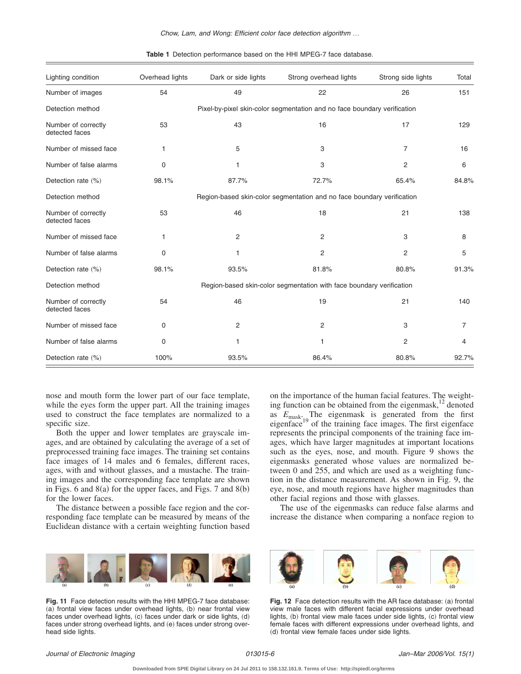| Lighting condition                    | Overhead lights                                                          | Dark or side lights | Strong overhead lights | Strong side lights | Total |  |  |  |
|---------------------------------------|--------------------------------------------------------------------------|---------------------|------------------------|--------------------|-------|--|--|--|
| Number of images                      | 54                                                                       | 49                  | 22                     | 26                 | 151   |  |  |  |
| Detection method                      | Pixel-by-pixel skin-color segmentation and no face boundary verification |                     |                        |                    |       |  |  |  |
| Number of correctly<br>detected faces | 53                                                                       | 43<br>16            |                        | 17                 | 129   |  |  |  |
| Number of missed face                 | 1                                                                        | 5                   | 3                      | 7                  | 16    |  |  |  |
| Number of false alarms                | 0                                                                        | 1                   | 3                      | 2                  | 6     |  |  |  |
| Detection rate (%)                    | 98.1%                                                                    | 87.7%               | 72.7%                  | 65.4%              | 84.8% |  |  |  |
| Detection method                      | Region-based skin-color segmentation and no face boundary verification   |                     |                        |                    |       |  |  |  |
| Number of correctly<br>detected faces | 53                                                                       | 46                  | 18                     | 21                 | 138   |  |  |  |
| Number of missed face                 | 1                                                                        | 2                   | $\overline{2}$         | 3                  | 8     |  |  |  |
| Number of false alarms                | 0                                                                        | 1                   | $\overline{2}$         | $\overline{2}$     | 5     |  |  |  |
| Detection rate (%)                    | 98.1%                                                                    | 93.5%               | 81.8%                  | 80.8%              | 91.3% |  |  |  |
| Detection method                      | Region-based skin-color segmentation with face boundary verification     |                     |                        |                    |       |  |  |  |
| Number of correctly<br>detected faces | 54                                                                       | 46                  | 19                     | 21                 | 140   |  |  |  |
| Number of missed face                 | 0                                                                        | 2                   | 2                      | 3                  | 7     |  |  |  |
| Number of false alarms                | 0                                                                        | 1                   | 1                      | $\overline{2}$     | 4     |  |  |  |
| Detection rate (%)                    | 100%                                                                     | 93.5%               | 86.4%                  | 80.8%              | 92.7% |  |  |  |

**Table 1** Detection performance based on the HHI MPEG-7 face database.

nose and mouth form the lower part of our face template, while the eyes form the upper part. All the training images used to construct the face templates are normalized to a specific size.

Both the upper and lower templates are grayscale images, and are obtained by calculating the average of a set of preprocessed training face images. The training set contains face images of 14 males and 6 females, different races, ages, with and without glasses, and a mustache. The training images and the corresponding face template are shown in Figs. 6 and  $8(a)$  for the upper faces, and Figs. 7 and  $8(b)$ for the lower faces.

The distance between a possible face region and the corresponding face template can be measured by means of the Euclidean distance with a certain weighting function based



The use of the eigenmasks can reduce false alarms and increase the distance when comparing a nonface region to



**Fig. 11** Face detection results with the HHI MPEG-7 face database: (a) frontal view faces under overhead lights, (b) near frontal view faces under overhead lights, (c) faces under dark or side lights, (d) faces under strong overhead lights, and (e) faces under strong overhead side lights.



**Fig. 12** Face detection results with the AR face database: (a) frontal view male faces with different facial expressions under overhead lights, (b) frontal view male faces under side lights, (c) frontal view female faces with different expressions under overhead lights, and (d) frontal view female faces under side lights.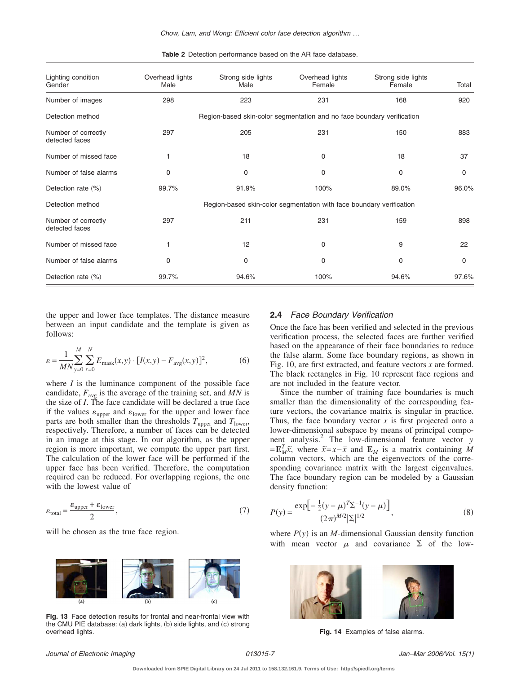| Lighting condition<br>Gender          | Overhead lights<br>Male                                                | Strong side lights<br>Male | Overhead lights<br>Female | Strong side lights<br>Female | Total    |  |  |  |
|---------------------------------------|------------------------------------------------------------------------|----------------------------|---------------------------|------------------------------|----------|--|--|--|
| Number of images                      | 298                                                                    | 223                        | 231                       | 168                          | 920      |  |  |  |
| Detection method                      | Region-based skin-color segmentation and no face boundary verification |                            |                           |                              |          |  |  |  |
| Number of correctly<br>detected faces | 297                                                                    | 205                        | 231                       | 150                          | 883      |  |  |  |
| Number of missed face                 | 1                                                                      | 18                         | 0                         | 18                           | 37       |  |  |  |
| Number of false alarms                | 0                                                                      | 0                          | $\mathbf 0$               | 0                            | $\Omega$ |  |  |  |
| Detection rate (%)                    | 99.7%                                                                  | 91.9%                      | 100%                      | 89.0%                        | 96.0%    |  |  |  |
| Detection method                      | Region-based skin-color segmentation with face boundary verification   |                            |                           |                              |          |  |  |  |
| Number of correctly<br>detected faces | 297                                                                    | 211                        | 231                       | 159                          | 898      |  |  |  |
| Number of missed face                 | 1                                                                      | 12                         | $\mathbf 0$               | 9                            | 22       |  |  |  |
| Number of false alarms                | $\Omega$                                                               | $\Omega$                   | 0                         | $\Omega$                     | 0        |  |  |  |
| Detection rate (%)                    | 99.7%                                                                  | 94.6%                      | 100%                      | 94.6%                        | 97.6%    |  |  |  |

**Table 2** Detection performance based on the AR face database.

the upper and lower face templates. The distance measure between an input candidate and the template is given as follows:

$$
\varepsilon = \frac{1}{MN} \sum_{y=0}^{M} \sum_{x=0}^{N} E_{\text{mask}}(x, y) \cdot [I(x, y) - F_{\text{avg}}(x, y)]^2,\tag{6}
$$

where *I* is the luminance component of the possible face candidate,  $F_{\text{avg}}$  is the average of the training set, and MN is the size of *I*. The face candidate will be declared a true face if the values  $\varepsilon_{\text{upper}}$  and  $\varepsilon_{\text{lower}}$  for the upper and lower face parts are both smaller than the thresholds  $T_{\text{upper}}$  and  $T_{\text{lower}}$ , respectively. Therefore, a number of faces can be detected in an image at this stage. In our algorithm, as the upper region is more important, we compute the upper part first. The calculation of the lower face will be performed if the upper face has been verified. Therefore, the computation required can be reduced. For overlapping regions, the one with the lowest value of

$$
\varepsilon_{\text{total}} = \frac{\varepsilon_{\text{upper}} + \varepsilon_{\text{lower}}}{2},\tag{7}
$$

will be chosen as the true face region.



**Fig. 13** Face detection results for frontal and near-frontal view with the CMU PIE database: (a) dark lights, (b) side lights, and (c) strong overhead lights. **Fig. 14** Examples of false alarms.

## **2.4** *Face Boundary Verification*

Once the face has been verified and selected in the previous verification process, the selected faces are further verified based on the appearance of their face boundaries to reduce the false alarm. Some face boundary regions, as shown in Fig. 10, are first extracted, and feature vectors *x* are formed. The black rectangles in Fig. 10 represent face regions and are not included in the feature vector.

Since the number of training face boundaries is much smaller than the dimensionality of the corresponding feature vectors, the covariance matrix is singular in practice. Thus, the face boundary vector  $x$  is first projected onto a lower-dimensional subspace by means of principal component analysis.2 The low-dimensional feature vector *y*  $=$ **E**<sup>*T*</sup><sub>*X*</sub> $\tilde{x}$  where  $\tilde{x}$ = $x$  – $\overline{x}$  and **E**<sub>*M*</sub> is a matrix containing *M* column vectors, which are the eigenvectors of the corresponding covariance matrix with the largest eigenvalues. The face boundary region can be modeled by a Gaussian density function:

$$
P(y) = \frac{\exp\left[-\frac{1}{2}(y - \mu)^{T} \Sigma^{-1} (y - \mu)\right]}{(2\pi)^{M/2} |\Sigma|^{1/2}},
$$
\n(8)

where  $P(y)$  is an *M*-dimensional Gaussian density function with mean vector  $\mu$  and covariance  $\Sigma$  of the low-

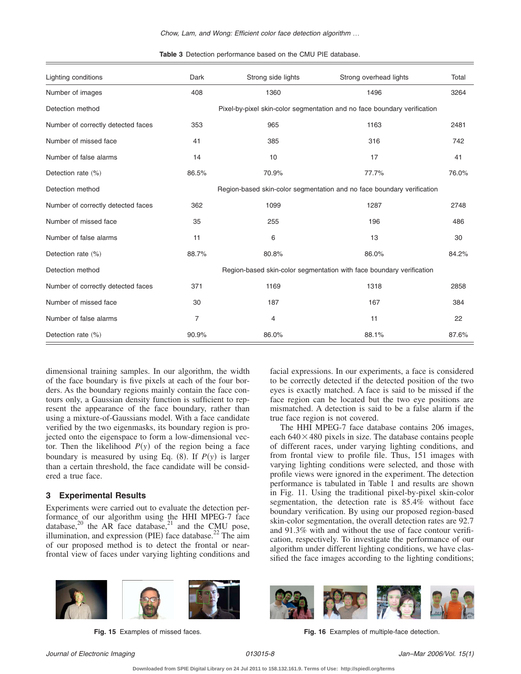| <b>Table 3</b> Detection performance based on the CMU PIE database. |  |  |  |  |
|---------------------------------------------------------------------|--|--|--|--|
|---------------------------------------------------------------------|--|--|--|--|

| Lighting conditions                | Dark                                                                   | Strong side lights                                                       | Strong overhead lights | Total |  |
|------------------------------------|------------------------------------------------------------------------|--------------------------------------------------------------------------|------------------------|-------|--|
| Number of images                   | 408                                                                    | 1360                                                                     | 1496                   | 3264  |  |
| Detection method                   |                                                                        | Pixel-by-pixel skin-color segmentation and no face boundary verification |                        |       |  |
| Number of correctly detected faces | 353                                                                    | 965                                                                      | 1163                   | 2481  |  |
| Number of missed face              | 41                                                                     | 385                                                                      | 316                    | 742   |  |
| Number of false alarms             | 14                                                                     | 10                                                                       | 17                     | 41    |  |
| Detection rate (%)                 | 86.5%                                                                  | 70.9%                                                                    | 77.7%                  | 76.0% |  |
| Detection method                   | Region-based skin-color segmentation and no face boundary verification |                                                                          |                        |       |  |
| Number of correctly detected faces | 362                                                                    | 1099                                                                     | 1287                   | 2748  |  |
| Number of missed face              | 35                                                                     | 255                                                                      | 196                    | 486   |  |
| Number of false alarms             | 11                                                                     | 6                                                                        | 13                     | 30    |  |
| Detection rate (%)                 | 88.7%                                                                  | 80.8%                                                                    | 86.0%                  | 84.2% |  |
| Detection method                   | Region-based skin-color segmentation with face boundary verification   |                                                                          |                        |       |  |
| Number of correctly detected faces | 371                                                                    | 1169                                                                     | 1318                   | 2858  |  |
| Number of missed face              | 30                                                                     | 187                                                                      | 167                    | 384   |  |
| Number of false alarms             | $\overline{7}$                                                         | 4                                                                        | 11                     | 22    |  |
| Detection rate (%)                 | 90.9%                                                                  | 86.0%                                                                    | 88.1%                  | 87.6% |  |

dimensional training samples. In our algorithm, the width of the face boundary is five pixels at each of the four borders. As the boundary regions mainly contain the face contours only, a Gaussian density function is sufficient to represent the appearance of the face boundary, rather than using a mixture-of-Gaussians model. With a face candidate verified by the two eigenmasks, its boundary region is projected onto the eigenspace to form a low-dimensional vector. Then the likelihood  $P(y)$  of the region being a face boundary is measured by using Eq.  $(8)$ . If  $P(y)$  is larger than a certain threshold, the face candidate will be considered a true face.

# **3 Experimental Results**

Experiments were carried out to evaluate the detection performance of our algorithm using the HHI MPEG-7 face database,<sup>20</sup> the AR face database,<sup>21</sup> and the CMU pose, illumination, and expression (PIE) face database.<sup>22</sup> The aim of our proposed method is to detect the frontal or nearfrontal view of faces under varying lighting conditions and

facial expressions. In our experiments, a face is considered to be correctly detected if the detected position of the two eyes is exactly matched. A face is said to be missed if the face region can be located but the two eye positions are mismatched. A detection is said to be a false alarm if the true face region is not covered.

The HHI MPEG-7 face database contains 206 images, each  $640\times480$  pixels in size. The database contains people of different races, under varying lighting conditions, and from frontal view to profile file. Thus, 151 images with varying lighting conditions were selected, and those with profile views were ignored in the experiment. The detection performance is tabulated in Table 1 and results are shown in Fig. 11. Using the traditional pixel-by-pixel skin-color segmentation, the detection rate is 85.4% without face boundary verification. By using our proposed region-based skin-color segmentation, the overall detection rates are 92.7 and 91.3% with and without the use of face contour verification, respectively. To investigate the performance of our algorithm under different lighting conditions, we have classified the face images according to the lighting conditions;



**Fig. 15** Examples of missed faces. **Fig. 16** Examples of multiple-face detection.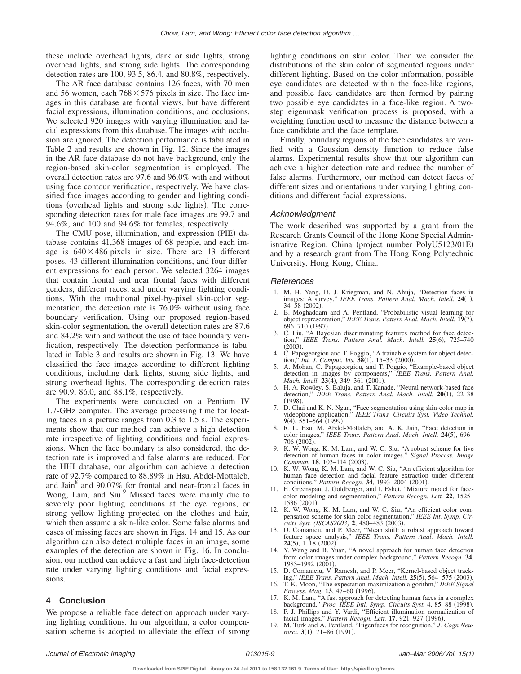these include overhead lights, dark or side lights, strong overhead lights, and strong side lights. The corresponding detection rates are 100, 93.5, 86.4, and 80.8%, respectively.

The AR face database contains 126 faces, with 70 men and 56 women, each  $768 \times 576$  pixels in size. The face images in this database are frontal views, but have different facial expressions, illumination conditions, and occlusions. We selected 920 images with varying illumination and facial expressions from this database. The images with occlusion are ignored. The detection performance is tabulated in Table 2 and results are shown in Fig. 12. Since the images in the AR face database do not have background, only the region-based skin-color segmentation is employed. The overall detection rates are 97.6 and 96.0% with and without using face contour verification, respectively. We have classified face images according to gender and lighting conditions (overhead lights and strong side lights). The corresponding detection rates for male face images are 99.7 and 94.6%, and 100 and 94.6% for females, respectively.

The CMU pose, illumination, and expression (PIE) database contains 41,368 images of 68 people, and each image is  $640\times486$  pixels in size. There are 13 different poses, 43 different illumination conditions, and four different expressions for each person. We selected 3264 images that contain frontal and near frontal faces with different genders, different races, and under varying lighting conditions. With the traditional pixel-by-pixel skin-color segmentation, the detection rate is 76.0% without using face boundary verification. Using our proposed region-based skin-color segmentation, the overall detection rates are 87.6 and 84.2% with and without the use of face boundary verification, respectively. The detection performance is tabulated in Table 3 and results are shown in Fig. 13. We have classified the face images according to different lighting conditions, including dark lights, strong side lights, and strong overhead lights. The corresponding detection rates are 90.9, 86.0, and 88.1%, respectively.

The experiments were conducted on a Pentium IV 1.7-GHz computer. The average processing time for locating faces in a picture ranges from 0.3 to 1.5 s. The experiments show that our method can achieve a high detection rate irrespective of lighting conditions and facial expressions. When the face boundary is also considered, the detection rate is improved and false alarms are reduced. For the HHI database, our algorithm can achieve a detection rate of 92.7% compared to 88.89% in Hsu, Abdel-Mottaleb, and  $Jain<sup>8</sup>$  and  $90.07%$  for frontal and near-frontal faces in Wong, Lam, and Siu.<sup>9</sup> Missed faces were mainly due to severely poor lighting conditions at the eye regions, or strong yellow lighting projected on the clothes and hair, which then assume a skin-like color. Some false alarms and cases of missing faces are shown in Figs. 14 and 15. As our algorithm can also detect multiple faces in an image, some examples of the detection are shown in Fig. 16. In conclusion, our method can achieve a fast and high face-detection rate under varying lighting conditions and facial expressions.

## **4 Conclusion**

We propose a reliable face detection approach under varying lighting conditions. In our algorithm, a color compensation scheme is adopted to alleviate the effect of strong lighting conditions on skin color. Then we consider the distributions of the skin color of segmented regions under different lighting. Based on the color information, possible eye candidates are detected within the face-like regions, and possible face candidates are then formed by pairing two possible eye candidates in a face-like region. A twostep eigenmask verification process is proposed, with a weighting function used to measure the distance between a face candidate and the face template.

Finally, boundary regions of the face candidates are verified with a Gaussian density function to reduce false alarms. Experimental results show that our algorithm can achieve a higher detection rate and reduce the number of false alarms. Furthermore, our method can detect faces of different sizes and orientations under varying lighting conditions and different facial expressions.

## *Acknowledgment*

The work described was supported by a grant from the Research Grants Council of the Hong Kong Special Administrative Region, China (project number PolyU5123/01E) and by a research grant from The Hong Kong Polytechnic University, Hong Kong, China.

#### *References*

- 1. M. H. Yang, D. J. Kriegman, and N. Ahuja, "Detection faces in images: A survey," IEEE Trans. Pattern Anal. Mach. Intell. 24(1),  $34 - 58$  (2002).
- . 2. B. Moghaddam and A. Pentland, "Probabilistic visual learning for object representation," *IEEE Trans. Pattern Anal. Mach. Intell.* **19**(7), 696–710 (1997).  $696 - 710(1997)$ .
- 3. C. Liu, "A Bayesian discriminating features method for face detec-tion," *IEEE Trans. Pattern Anal. Mach. Intell.* **25**6-, 725–740  $(2003)$
- (2003).<br>4. C. Papageorgiou and T. Poggio, "A trainable system for object detection," *Int. J. Comput. Vis.* **38**(1), 15–33 (2000).
- tion," *Int. J. Comput. Vis.* **38**(1), 15–33 (2000).<br>5. A. Mohan, C. Papageorgiou, and T. Poggio, "Example-based object<br>detection in images by components," *IEEE Trans. Pattern Anal.*<br>*Mach. Intell.* **23**(4), 349–361 (2001
- detection," *IEEE Trans. Pattern Anal. Mach. Intell.* **20**(1), 22-38  $(1998)$
- . 7. D. Chai and K. N. Ngan, "Face segmentation using skin-color map in videophone application," *IEEE Trans. Circuits Syst. Video Technol.* **9**(4), 551–564 (1999).
- 8. R. L. Hsu, M. Abdel-Mottaleb, and A. K. Jain, "Face detection in color images," IEEE Trans. Pattern Anal. Mach. Intell. 24(5), 696-706 (2002).
- 9. K. W. Wong, K. M. Lam, and W. C. Siu, "A robust scheme for live detection of human faces in color images," *Signal Process. Image Commun.* **18**, 103-114 (2003)
- . 10. K. W. Wong, K. M. Lam, and W. C. Siu, "An efficient algorithm for human face detection and facial feature extraction under different conditions," *Pattern Recogn*. **34**, 1993–2004 (2001).
- 11. H. Greenspan, J. Goldberger, and I. Eshet, "Mixture model for facecolor modeling and segmentation," *Pattern Recogn. Lett.* **22**, 1525– 1536 (2001).
- . 12. K. W. Wong, K. M. Lam, and W. C. Siu, "An efficient color compensation scheme for skin color segmentation," *IEEE Int. Symp. Circuits Syst. (ISCAS2003)* 2, 480-483 (2003).
- . 13. D. Comaniciu and P. Meer, "Mean shift: a robust approach toward feature space analysis," *IEEE Trans. Pattern Anal. Mach. Intell.* **24**(5), 1–18 (2002)
- . 14. Y. Wang and B. Yuan, "A novel approach for human face detection from color images under complex background," *Pattern Recogn.* **34**, 1983-1992 (2001).
- 15. D. Comaniciu, V. Ramesh, and P. Meer, "Kernel-based object tracking," *IEEE Trans. Pattern Anal. Mach. Intell.* **25**(5), 564–575 (2003).
- 16. T. K. Moon, "The expectation-maximization algorithm," *IEEE Signal*
- *Process. Mag.* **13**, 47–60 (1996).<br>
17. K. M. Lam, "A fast approach for detecting human faces in a complex<br>
background," *Proc. IEEE Intl. Symp. Circuits Syst.* 4, 85–88 (1998).
- 18. P. J. Phillips and Y. Vardi, "Efficient illumination normalization of facial images," *Pattern Recogn. Lett.* **17**, 921–927 (1996). 19. M. Turk and A. Pentland, "Eigenfaces for recognition," *J. Cogn Neu*-
- rosci. **3**(1), 71–86 (1991).